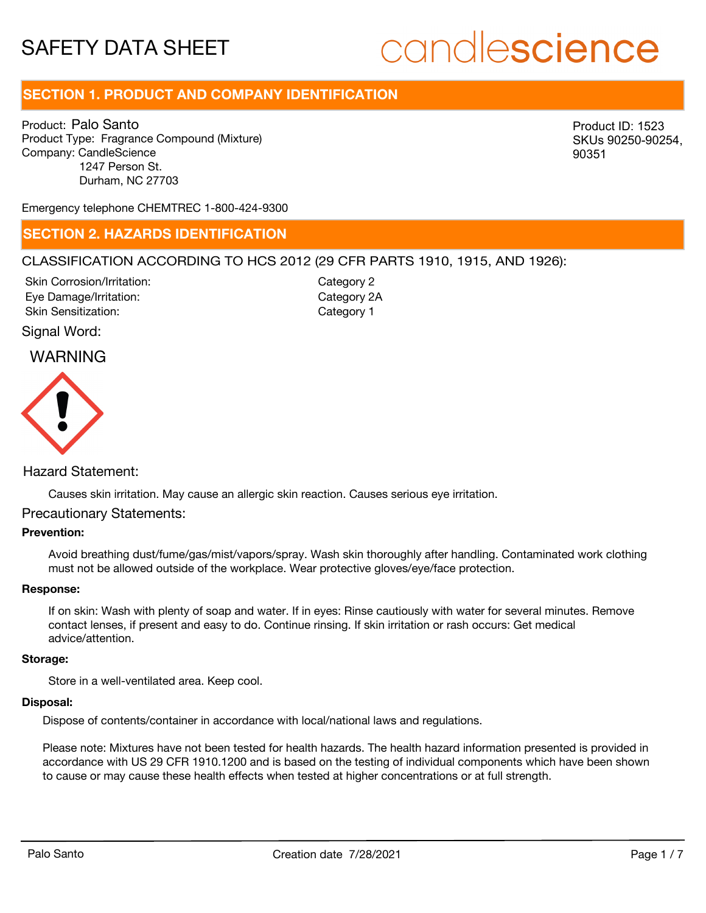## candlescience

### **SECTION 1. PRODUCT AND COMPANY IDENTIFICATION**

Product: Palo Santo Product Type: Fragrance Compound (Mixture) Company: CandleScience 1247 Person St. Durham, NC 27703

Product ID: 1523 SKUs 90250-90254, 90351

Emergency telephone CHEMTREC 1-800-424-9300

### **SECTION 2. HAZARDS IDENTIFICATION**

### CLASSIFICATION ACCORDING TO HCS 2012 (29 CFR PARTS 1910, 1915, AND 1926):

Skin Corrosion/Irritation: Eye Damage/Irritation: Skin Sensitization:

Category 2 Category 2A Category 1

### Signal Word:

### WARNING



### Hazard Statement:

Causes skin irritation. May cause an allergic skin reaction. Causes serious eye irritation.

### Precautionary Statements:

### **Prevention:**

Avoid breathing dust/fume/gas/mist/vapors/spray. Wash skin thoroughly after handling. Contaminated work clothing must not be allowed outside of the workplace. Wear protective gloves/eye/face protection.

### **Response:**

If on skin: Wash with plenty of soap and water. If in eyes: Rinse cautiously with water for several minutes. Remove contact lenses, if present and easy to do. Continue rinsing. If skin irritation or rash occurs: Get medical advice/attention.

#### **Storage:**

Store in a well-ventilated area. Keep cool.

### **Disposal:**

Dispose of contents/container in accordance with local/national laws and regulations.

Please note: Mixtures have not been tested for health hazards. The health hazard information presented is provided in accordance with US 29 CFR 1910.1200 and is based on the testing of individual components which have been shown to cause or may cause these health effects when tested at higher concentrations or at full strength.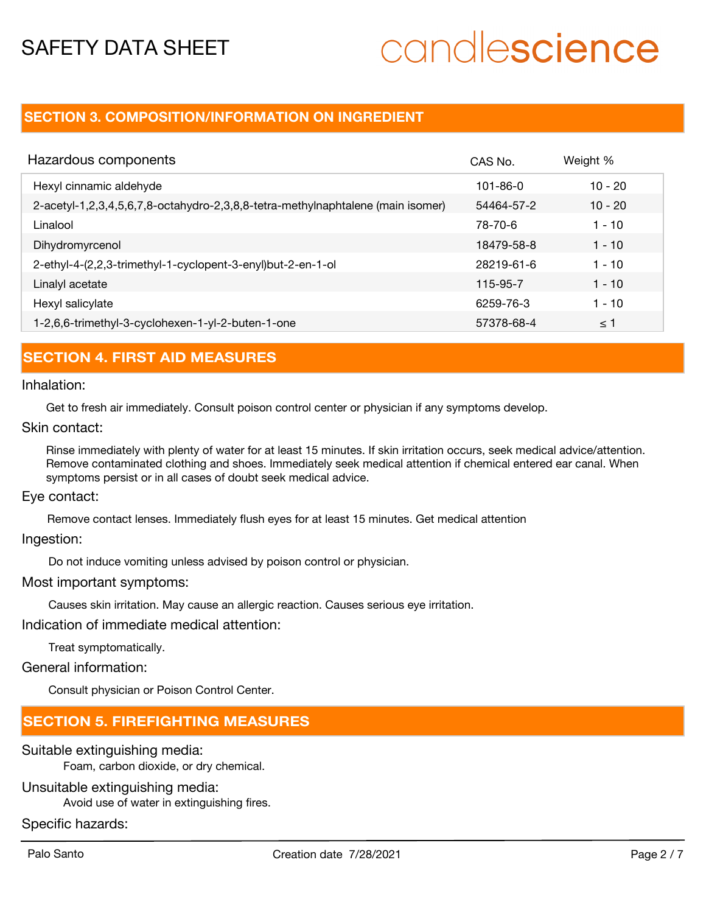# candlescience

### **SECTION 3. COMPOSITION/INFORMATION ON INGREDIENT**

| Hazardous components                                                            | CAS No.        | Weight %  |
|---------------------------------------------------------------------------------|----------------|-----------|
| Hexyl cinnamic aldehyde                                                         | $101 - 86 - 0$ | $10 - 20$ |
| 2-acetyl-1,2,3,4,5,6,7,8-octahydro-2,3,8,8-tetra-methylnaphtalene (main isomer) | 54464-57-2     | $10 - 20$ |
| Linalool                                                                        | 78-70-6        | 1 - 10    |
| Dihydromyrcenol                                                                 | 18479-58-8     | $1 - 10$  |
| 2-ethyl-4-(2,2,3-trimethyl-1-cyclopent-3-enyl)but-2-en-1-ol                     | 28219-61-6     | $1 - 10$  |
| Linalyl acetate                                                                 | 115-95-7       | $1 - 10$  |
| Hexyl salicylate                                                                | 6259-76-3      | $1 - 10$  |
| 1-2,6,6-trimethyl-3-cyclohexen-1-yl-2-buten-1-one                               | 57378-68-4     | $\leq$ 1  |

### **SECTION 4. FIRST AID MEASURES**

Inhalation:

Get to fresh air immediately. Consult poison control center or physician if any symptoms develop.

Skin contact:

Rinse immediately with plenty of water for at least 15 minutes. If skin irritation occurs, seek medical advice/attention. Remove contaminated clothing and shoes. Immediately seek medical attention if chemical entered ear canal. When symptoms persist or in all cases of doubt seek medical advice.

Eye contact:

Remove contact lenses. Immediately flush eyes for at least 15 minutes. Get medical attention

Ingestion:

Do not induce vomiting unless advised by poison control or physician.

### Most important symptoms:

Causes skin irritation. May cause an allergic reaction. Causes serious eye irritation.

Indication of immediate medical attention:

Treat symptomatically.

### General information:

Consult physician or Poison Control Center.

### **SECTION 5. FIREFIGHTING MEASURES**

Suitable extinguishing media:

Foam, carbon dioxide, or dry chemical.

### Unsuitable extinguishing media:

Avoid use of water in extinguishing fires.

### Specific hazards: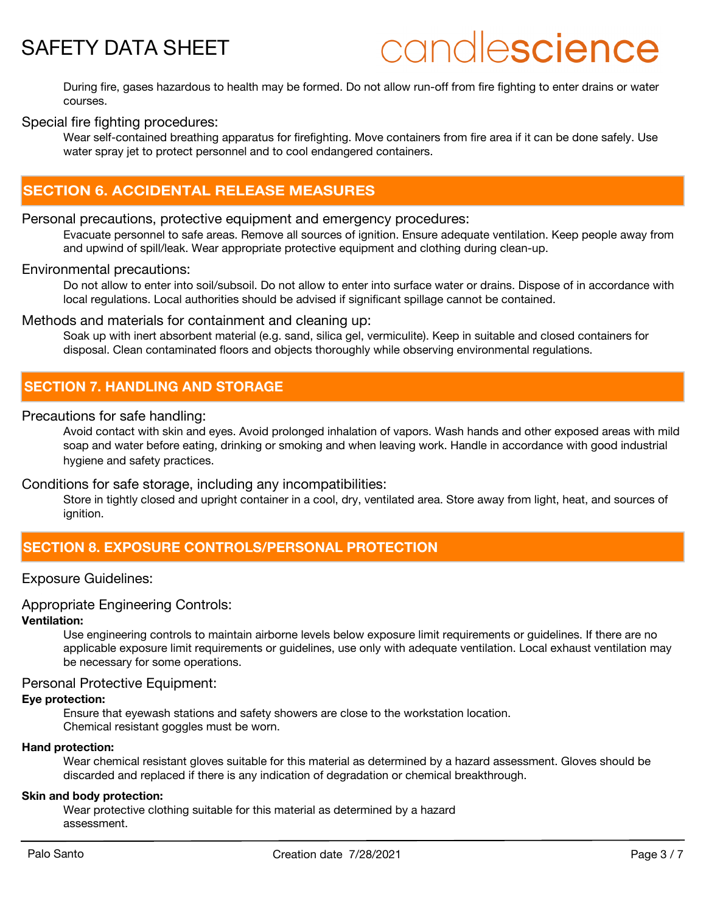## candlescience

During fire, gases hazardous to health may be formed. Do not allow run-off from fire fighting to enter drains or water courses.

### Special fire fighting procedures:

Wear self-contained breathing apparatus for firefighting. Move containers from fire area if it can be done safely. Use water spray jet to protect personnel and to cool endangered containers.

### **SECTION 6. ACCIDENTAL RELEASE MEASURES**

### Personal precautions, protective equipment and emergency procedures:

Evacuate personnel to safe areas. Remove all sources of ignition. Ensure adequate ventilation. Keep people away from and upwind of spill/leak. Wear appropriate protective equipment and clothing during clean-up.

### Environmental precautions:

Do not allow to enter into soil/subsoil. Do not allow to enter into surface water or drains. Dispose of in accordance with local regulations. Local authorities should be advised if significant spillage cannot be contained.

### Methods and materials for containment and cleaning up:

Soak up with inert absorbent material (e.g. sand, silica gel, vermiculite). Keep in suitable and closed containers for disposal. Clean contaminated floors and objects thoroughly while observing environmental regulations.

### **SECTION 7. HANDLING AND STORAGE**

### Precautions for safe handling:

Avoid contact with skin and eyes. Avoid prolonged inhalation of vapors. Wash hands and other exposed areas with mild soap and water before eating, drinking or smoking and when leaving work. Handle in accordance with good industrial hygiene and safety practices.

### Conditions for safe storage, including any incompatibilities:

Store in tightly closed and upright container in a cool, dry, ventilated area. Store away from light, heat, and sources of ignition.

### **SECTION 8. EXPOSURE CONTROLS/PERSONAL PROTECTION**

### Exposure Guidelines:

### Appropriate Engineering Controls:

#### **Ventilation:**

Use engineering controls to maintain airborne levels below exposure limit requirements or guidelines. If there are no applicable exposure limit requirements or guidelines, use only with adequate ventilation. Local exhaust ventilation may be necessary for some operations.

### Personal Protective Equipment:

### **Eye protection:**

Ensure that eyewash stations and safety showers are close to the workstation location. Chemical resistant goggles must be worn.

### **Hand protection:**

Wear chemical resistant gloves suitable for this material as determined by a hazard assessment. Gloves should be discarded and replaced if there is any indication of degradation or chemical breakthrough.

### **Skin and body protection:**

Wear protective clothing suitable for this material as determined by a hazard assessment.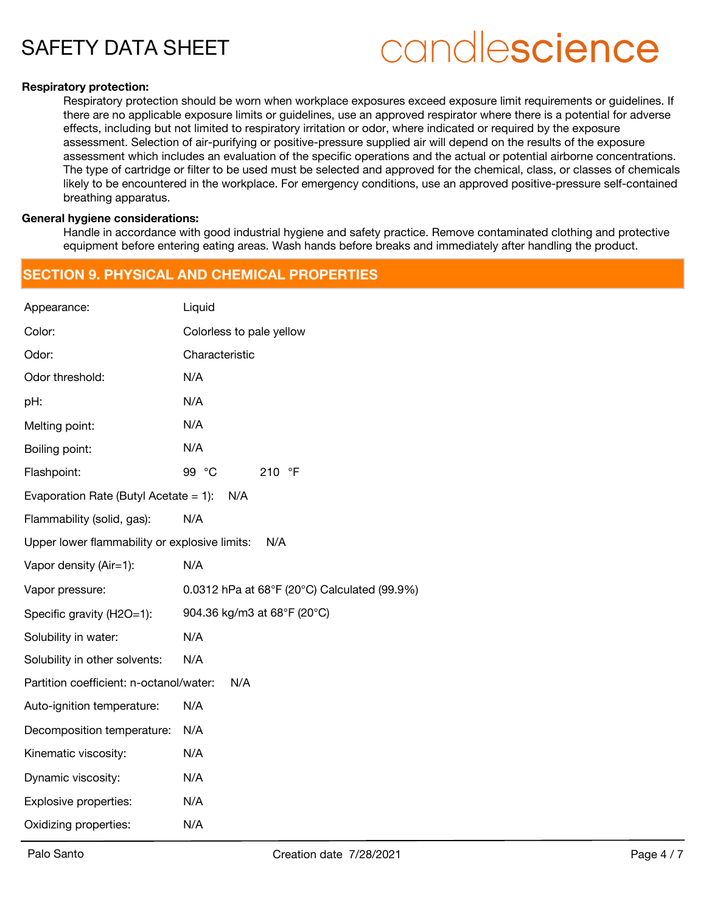## candlescience

### **Respiratory protection:**

Respiratory protection should be worn when workplace exposures exceed exposure limit requirements or guidelines. If there are no applicable exposure limits or guidelines, use an approved respirator where there is a potential for adverse effects, including but not limited to respiratory irritation or odor, where indicated or required by the exposure assessment. Selection of air-purifying or positive-pressure supplied air will depend on the results of the exposure assessment which includes an evaluation of the specific operations and the actual or potential airborne concentrations. The type of cartridge or filter to be used must be selected and approved for the chemical, class, or classes of chemicals likely to be encountered in the workplace. For emergency conditions, use an approved positive-pressure self-contained breathing apparatus.

### **General hygiene considerations:**

Handle in accordance with good industrial hygiene and safety practice. Remove contaminated clothing and protective equipment before entering eating areas. Wash hands before breaks and immediately after handling the product.

### **SECTION 9. PHYSICAL AND CHEMICAL PROPERTIES**

| Appearance:                                          | Liquid                                       |  |  |
|------------------------------------------------------|----------------------------------------------|--|--|
| Color:                                               | Colorless to pale yellow                     |  |  |
| Odor:                                                | Characteristic                               |  |  |
| Odor threshold:                                      | N/A                                          |  |  |
| pH:                                                  | N/A                                          |  |  |
| Melting point:                                       | N/A                                          |  |  |
| Boiling point:                                       | N/A                                          |  |  |
| Flashpoint:                                          | 99 °C<br>210 °F                              |  |  |
| Evaporation Rate (Butyl Acetate = 1):<br>N/A         |                                              |  |  |
| Flammability (solid, gas):                           | N/A                                          |  |  |
| Upper lower flammability or explosive limits:<br>N/A |                                              |  |  |
| Vapor density (Air=1):                               | N/A                                          |  |  |
| Vapor pressure:                                      | 0.0312 hPa at 68°F (20°C) Calculated (99.9%) |  |  |
| Specific gravity (H2O=1):                            | 904.36 kg/m3 at 68°F (20°C)                  |  |  |
| Solubility in water:                                 | N/A                                          |  |  |
| Solubility in other solvents:                        | N/A                                          |  |  |
| Partition coefficient: n-octanol/water:<br>N/A       |                                              |  |  |
| Auto-ignition temperature:                           | N/A                                          |  |  |
| Decomposition temperature:                           | N/A                                          |  |  |
| Kinematic viscosity:                                 | N/A                                          |  |  |
| Dynamic viscosity:                                   | N/A                                          |  |  |
| Explosive properties:                                | N/A                                          |  |  |
| Oxidizing properties:                                | N/A                                          |  |  |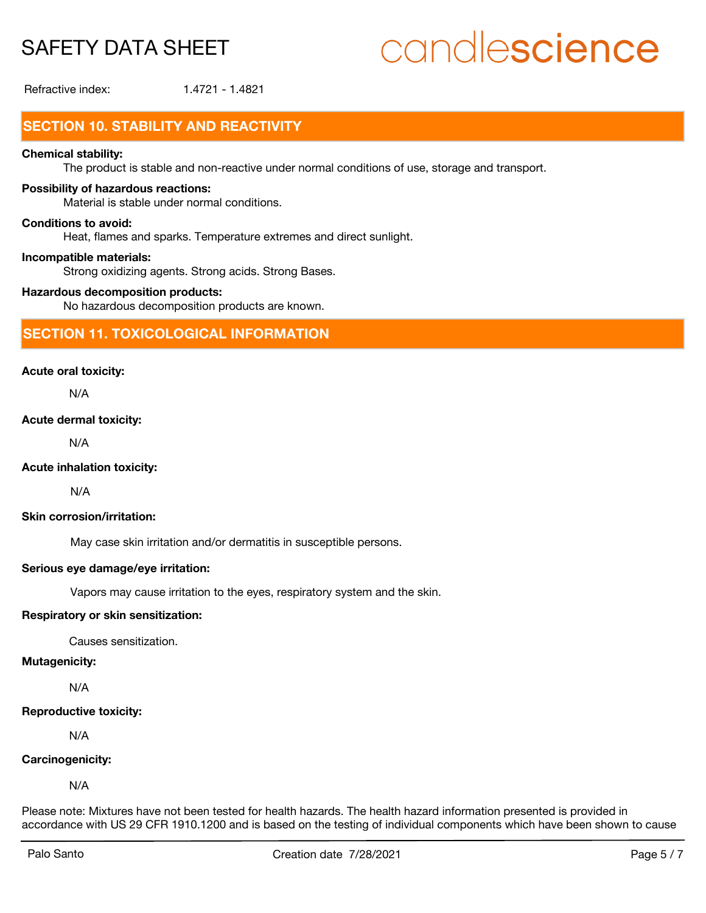## candlescience

Refractive index: 1.4721 - 1.4821

### **SECTION 10. STABILITY AND REACTIVITY**

### **Chemical stability:**

The product is stable and non-reactive under normal conditions of use, storage and transport.

### **Possibility of hazardous reactions:**

Material is stable under normal conditions.

### **Conditions to avoid:**

Heat, flames and sparks. Temperature extremes and direct sunlight.

### **Incompatible materials:**

Strong oxidizing agents. Strong acids. Strong Bases.

### **Hazardous decomposition products:**

No hazardous decomposition products are known.

### **SECTION 11. TOXICOLOGICAL INFORMATION**

### **Acute oral toxicity:**

N/A

### **Acute dermal toxicity:**

N/A

### **Acute inhalation toxicity:**

N/A

### **Skin corrosion/irritation:**

May case skin irritation and/or dermatitis in susceptible persons.

### **Serious eye damage/eye irritation:**

Vapors may cause irritation to the eyes, respiratory system and the skin.

### **Respiratory or skin sensitization:**

Causes sensitization.

### **Mutagenicity:**

N/A

### **Reproductive toxicity:**

N/A

### **Carcinogenicity:**

N/A

Please note: Mixtures have not been tested for health hazards. The health hazard information presented is provided in accordance with US 29 CFR 1910.1200 and is based on the testing of individual components which have been shown to cause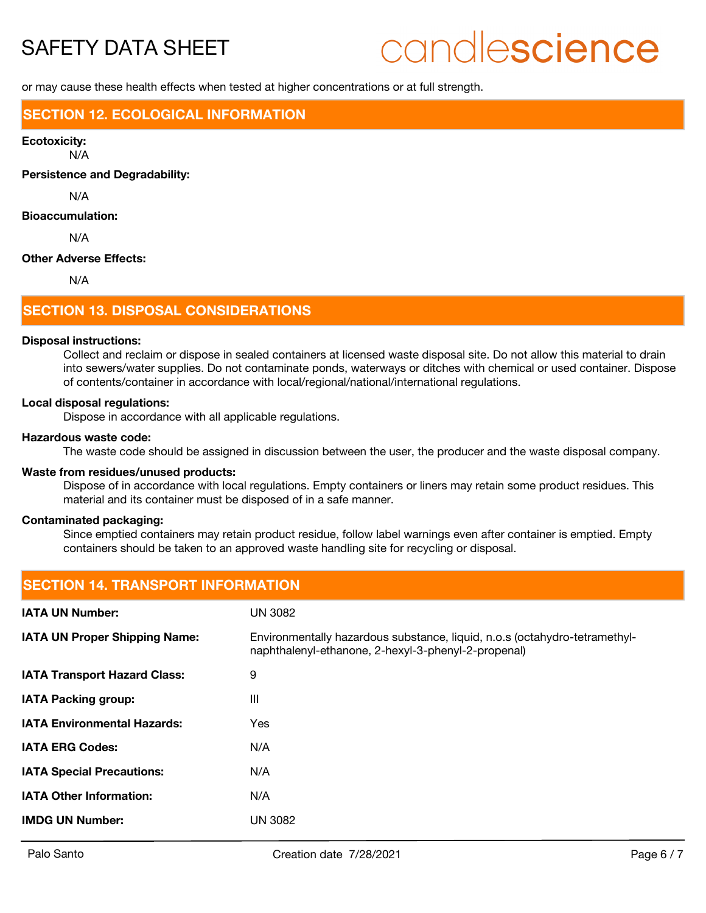## candlescience

or may cause these health effects when tested at higher concentrations or at full strength.

### **SECTION 12. ECOLOGICAL INFORMATION**

#### **Ecotoxicity:**

N/A

**Persistence and Degradability:**

N/A

### **Bioaccumulation:**

N/A

### **Other Adverse Effects:**

N/A

### **SECTION 13. DISPOSAL CONSIDERATIONS**

### **Disposal instructions:**

Collect and reclaim or dispose in sealed containers at licensed waste disposal site. Do not allow this material to drain into sewers/water supplies. Do not contaminate ponds, waterways or ditches with chemical or used container. Dispose of contents/container in accordance with local/regional/national/international regulations.

#### **Local disposal regulations:**

Dispose in accordance with all applicable regulations.

### **Hazardous waste code:**

The waste code should be assigned in discussion between the user, the producer and the waste disposal company.

### **Waste from residues/unused products:**

Dispose of in accordance with local regulations. Empty containers or liners may retain some product residues. This material and its container must be disposed of in a safe manner.

### **Contaminated packaging:**

Since emptied containers may retain product residue, follow label warnings even after container is emptied. Empty containers should be taken to an approved waste handling site for recycling or disposal.

### **SECTION 14. TRANSPORT INFORMATION IATA UN Number:** UN 3082 Environmentally hazardous substance, liquid, n.o.s (octahydro-tetramethylnaphthalenyl-ethanone, 2-hexyl-3-phenyl-2-propenal) **IATA UN Proper Shipping Name: IATA Transport Hazard Class:** 9 **IATA Packing group:** III **IATA Environmental Hazards:** Yes **IATA ERG Codes:** N/A **IATA Special Precautions:** N/A **IATA Other Information:** N/A **IMDG UN Number:** UN 3082